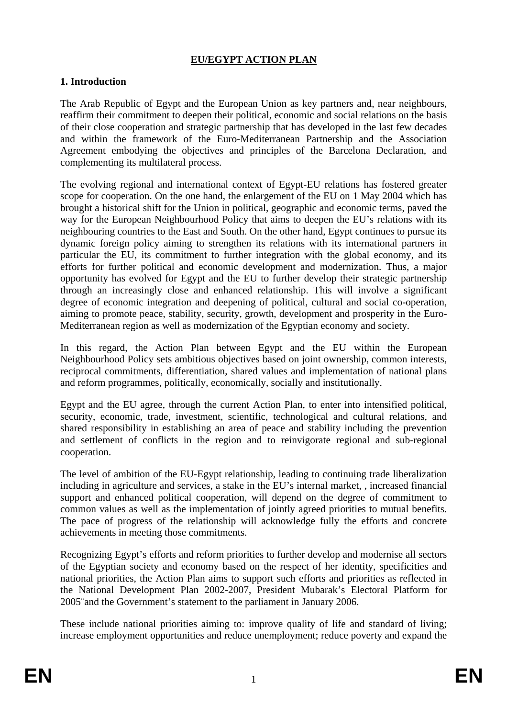# **EU/EGYPT ACTION PLAN**

## **1. Introduction**

The Arab Republic of Egypt and the European Union as key partners and, near neighbours, reaffirm their commitment to deepen their political, economic and social relations on the basis of their close cooperation and strategic partnership that has developed in the last few decades and within the framework of the Euro-Mediterranean Partnership and the Association Agreement embodying the objectives and principles of the Barcelona Declaration, and complementing its multilateral process.

The evolving regional and international context of Egypt-EU relations has fostered greater scope for cooperation. On the one hand, the enlargement of the EU on 1 May 2004 which has brought a historical shift for the Union in political, geographic and economic terms, paved the way for the European Neighbourhood Policy that aims to deepen the EU's relations with its neighbouring countries to the East and South. On the other hand, Egypt continues to pursue its dynamic foreign policy aiming to strengthen its relations with its international partners in particular the EU, its commitment to further integration with the global economy, and its efforts for further political and economic development and modernization. Thus, a major opportunity has evolved for Egypt and the EU to further develop their strategic partnership through an increasingly close and enhanced relationship. This will involve a significant degree of economic integration and deepening of political, cultural and social co-operation, aiming to promote peace, stability, security, growth, development and prosperity in the Euro-Mediterranean region as well as modernization of the Egyptian economy and society.

In this regard, the Action Plan between Egypt and the EU within the European Neighbourhood Policy sets ambitious objectives based on joint ownership, common interests, reciprocal commitments, differentiation, shared values and implementation of national plans and reform programmes, politically, economically, socially and institutionally.

Egypt and the EU agree, through the current Action Plan, to enter into intensified political, security, economic, trade, investment, scientific, technological and cultural relations, and shared responsibility in establishing an area of peace and stability including the prevention and settlement of conflicts in the region and to reinvigorate regional and sub-regional cooperation.

The level of ambition of the EU-Egypt relationship, leading to continuing trade liberalization including in agriculture and services, a stake in the EU's internal market, , increased financial support and enhanced political cooperation, will depend on the degree of commitment to common values as well as the implementation of jointly agreed priorities to mutual benefits. The pace of progress of the relationship will acknowledge fully the efforts and concrete achievements in meeting those commitments.

Recognizing Egypt's efforts and reform priorities to further develop and modernise all sectors of the Egyptian society and economy based on the respect of her identity, specificities and national priorities, the Action Plan aims to support such efforts and priorities as reflected in the National Development Plan 2002-2007, President Mubarak's Electoral Platform for 2005¨and the Government's statement to the parliament in January 2006.

These include national priorities aiming to: improve quality of life and standard of living; increase employment opportunities and reduce unemployment; reduce poverty and expand the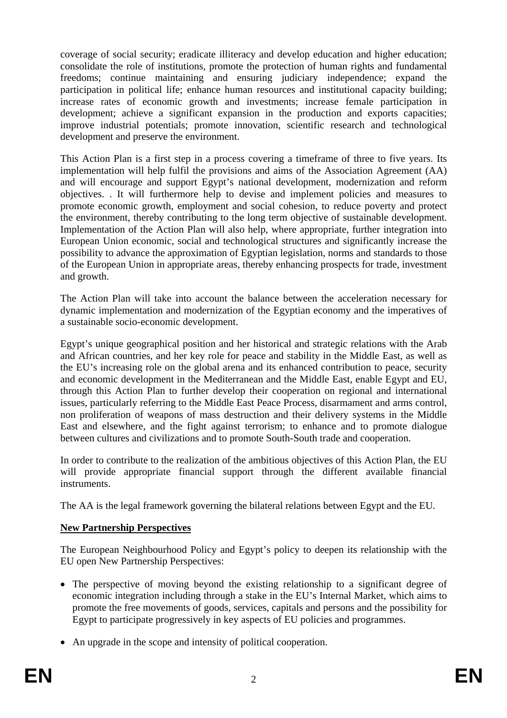coverage of social security; eradicate illiteracy and develop education and higher education; consolidate the role of institutions, promote the protection of human rights and fundamental freedoms; continue maintaining and ensuring judiciary independence; expand the participation in political life; enhance human resources and institutional capacity building; increase rates of economic growth and investments; increase female participation in development; achieve a significant expansion in the production and exports capacities; improve industrial potentials; promote innovation, scientific research and technological development and preserve the environment.

This Action Plan is a first step in a process covering a timeframe of three to five years. Its implementation will help fulfil the provisions and aims of the Association Agreement (AA) and will encourage and support Egypt's national development, modernization and reform objectives. . It will furthermore help to devise and implement policies and measures to promote economic growth, employment and social cohesion, to reduce poverty and protect the environment, thereby contributing to the long term objective of sustainable development. Implementation of the Action Plan will also help, where appropriate, further integration into European Union economic, social and technological structures and significantly increase the possibility to advance the approximation of Egyptian legislation, norms and standards to those of the European Union in appropriate areas, thereby enhancing prospects for trade, investment and growth.

The Action Plan will take into account the balance between the acceleration necessary for dynamic implementation and modernization of the Egyptian economy and the imperatives of a sustainable socio-economic development.

Egypt's unique geographical position and her historical and strategic relations with the Arab and African countries, and her key role for peace and stability in the Middle East, as well as the EU's increasing role on the global arena and its enhanced contribution to peace, security and economic development in the Mediterranean and the Middle East, enable Egypt and EU, through this Action Plan to further develop their cooperation on regional and international issues, particularly referring to the Middle East Peace Process, disarmament and arms control, non proliferation of weapons of mass destruction and their delivery systems in the Middle East and elsewhere, and the fight against terrorism; to enhance and to promote dialogue between cultures and civilizations and to promote South-South trade and cooperation.

In order to contribute to the realization of the ambitious objectives of this Action Plan, the EU will provide appropriate financial support through the different available financial instruments.

The AA is the legal framework governing the bilateral relations between Egypt and the EU.

# **New Partnership Perspectives**

The European Neighbourhood Policy and Egypt's policy to deepen its relationship with the EU open New Partnership Perspectives:

- The perspective of moving beyond the existing relationship to a significant degree of economic integration including through a stake in the EU's Internal Market, which aims to promote the free movements of goods, services, capitals and persons and the possibility for Egypt to participate progressively in key aspects of EU policies and programmes.
- An upgrade in the scope and intensity of political cooperation.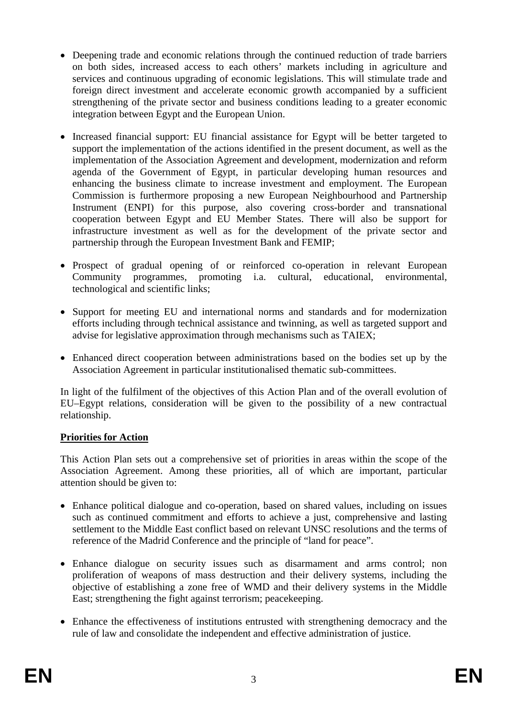- Deepening trade and economic relations through the continued reduction of trade barriers on both sides, increased access to each others' markets including in agriculture and services and continuous upgrading of economic legislations. This will stimulate trade and foreign direct investment and accelerate economic growth accompanied by a sufficient strengthening of the private sector and business conditions leading to a greater economic integration between Egypt and the European Union.
- Increased financial support: EU financial assistance for Egypt will be better targeted to support the implementation of the actions identified in the present document, as well as the implementation of the Association Agreement and development, modernization and reform agenda of the Government of Egypt, in particular developing human resources and enhancing the business climate to increase investment and employment. The European Commission is furthermore proposing a new European Neighbourhood and Partnership Instrument (ENPI) for this purpose, also covering cross-border and transnational cooperation between Egypt and EU Member States. There will also be support for infrastructure investment as well as for the development of the private sector and partnership through the European Investment Bank and FEMIP;
- Prospect of gradual opening of or reinforced co-operation in relevant European Community programmes, promoting i.a. cultural, educational, environmental, technological and scientific links;
- Support for meeting EU and international norms and standards and for modernization efforts including through technical assistance and twinning, as well as targeted support and advise for legislative approximation through mechanisms such as TAIEX;
- Enhanced direct cooperation between administrations based on the bodies set up by the Association Agreement in particular institutionalised thematic sub-committees.

In light of the fulfilment of the objectives of this Action Plan and of the overall evolution of EU–Egypt relations, consideration will be given to the possibility of a new contractual relationship.

## **Priorities for Action**

This Action Plan sets out a comprehensive set of priorities in areas within the scope of the Association Agreement. Among these priorities, all of which are important, particular attention should be given to:

- Enhance political dialogue and co-operation, based on shared values, including on issues such as continued commitment and efforts to achieve a just, comprehensive and lasting settlement to the Middle East conflict based on relevant UNSC resolutions and the terms of reference of the Madrid Conference and the principle of "land for peace".
- Enhance dialogue on security issues such as disarmament and arms control; non proliferation of weapons of mass destruction and their delivery systems, including the objective of establishing a zone free of WMD and their delivery systems in the Middle East; strengthening the fight against terrorism; peacekeeping.
- Enhance the effectiveness of institutions entrusted with strengthening democracy and the rule of law and consolidate the independent and effective administration of justice.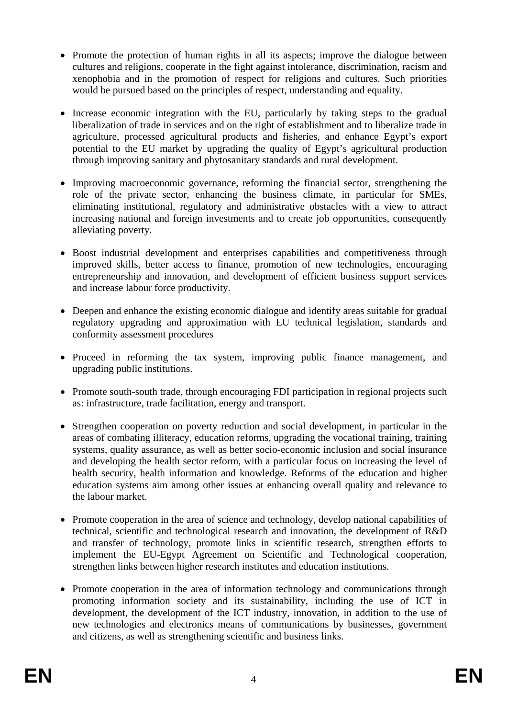- Promote the protection of human rights in all its aspects; improve the dialogue between cultures and religions, cooperate in the fight against intolerance, discrimination, racism and xenophobia and in the promotion of respect for religions and cultures. Such priorities would be pursued based on the principles of respect, understanding and equality.
- Increase economic integration with the EU, particularly by taking steps to the gradual liberalization of trade in services and on the right of establishment and to liberalize trade in agriculture, processed agricultural products and fisheries, and enhance Egypt's export potential to the EU market by upgrading the quality of Egypt's agricultural production through improving sanitary and phytosanitary standards and rural development.
- Improving macroeconomic governance, reforming the financial sector, strengthening the role of the private sector, enhancing the business climate, in particular for SMEs, eliminating institutional, regulatory and administrative obstacles with a view to attract increasing national and foreign investments and to create job opportunities, consequently alleviating poverty.
- Boost industrial development and enterprises capabilities and competitiveness through improved skills, better access to finance, promotion of new technologies, encouraging entrepreneurship and innovation, and development of efficient business support services and increase labour force productivity.
- Deepen and enhance the existing economic dialogue and identify areas suitable for gradual regulatory upgrading and approximation with EU technical legislation, standards and conformity assessment procedures
- Proceed in reforming the tax system, improving public finance management, and upgrading public institutions.
- Promote south-south trade, through encouraging FDI participation in regional projects such as: infrastructure, trade facilitation, energy and transport.
- Strengthen cooperation on poverty reduction and social development, in particular in the areas of combating illiteracy, education reforms, upgrading the vocational training, training systems, quality assurance, as well as better socio-economic inclusion and social insurance and developing the health sector reform, with a particular focus on increasing the level of health security, health information and knowledge. Reforms of the education and higher education systems aim among other issues at enhancing overall quality and relevance to the labour market.
- Promote cooperation in the area of science and technology, develop national capabilities of technical, scientific and technological research and innovation, the development of R&D and transfer of technology, promote links in scientific research, strengthen efforts to implement the EU-Egypt Agreement on Scientific and Technological cooperation, strengthen links between higher research institutes and education institutions.
- Promote cooperation in the area of information technology and communications through promoting information society and its sustainability, including the use of ICT in development, the development of the ICT industry, innovation, in addition to the use of new technologies and electronics means of communications by businesses, government and citizens, as well as strengthening scientific and business links.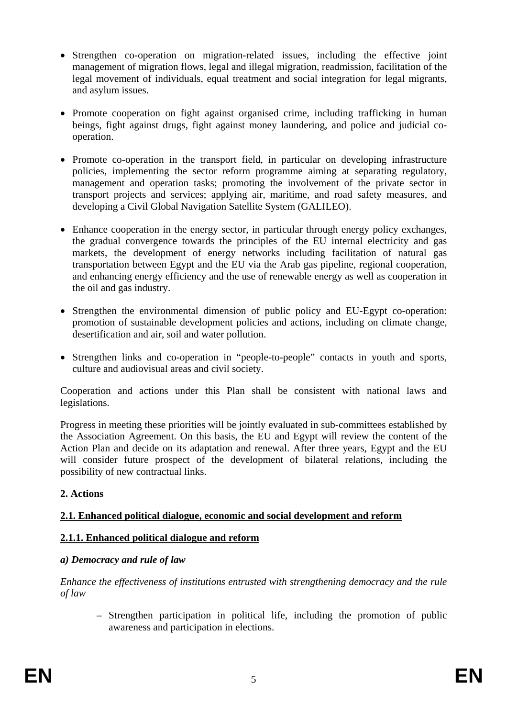- Strengthen co-operation on migration-related issues, including the effective joint management of migration flows, legal and illegal migration, readmission, facilitation of the legal movement of individuals, equal treatment and social integration for legal migrants, and asylum issues.
- Promote cooperation on fight against organised crime, including trafficking in human beings, fight against drugs, fight against money laundering, and police and judicial cooperation.
- Promote co-operation in the transport field, in particular on developing infrastructure policies, implementing the sector reform programme aiming at separating regulatory, management and operation tasks; promoting the involvement of the private sector in transport projects and services; applying air, maritime, and road safety measures, and developing a Civil Global Navigation Satellite System (GALILEO).
- Enhance cooperation in the energy sector, in particular through energy policy exchanges, the gradual convergence towards the principles of the EU internal electricity and gas markets, the development of energy networks including facilitation of natural gas transportation between Egypt and the EU via the Arab gas pipeline, regional cooperation, and enhancing energy efficiency and the use of renewable energy as well as cooperation in the oil and gas industry.
- Strengthen the environmental dimension of public policy and EU-Egypt co-operation: promotion of sustainable development policies and actions, including on climate change, desertification and air, soil and water pollution.
- Strengthen links and co-operation in "people-to-people" contacts in youth and sports, culture and audiovisual areas and civil society.

Cooperation and actions under this Plan shall be consistent with national laws and legislations.

Progress in meeting these priorities will be jointly evaluated in sub-committees established by the Association Agreement. On this basis, the EU and Egypt will review the content of the Action Plan and decide on its adaptation and renewal. After three years, Egypt and the EU will consider future prospect of the development of bilateral relations, including the possibility of new contractual links.

## **2. Actions**

## **2.1. Enhanced political dialogue, economic and social development and reform**

#### **2.1.1. Enhanced political dialogue and reform**

#### *a) Democracy and rule of law*

*Enhance the effectiveness of institutions entrusted with strengthening democracy and the rule of law* 

– Strengthen participation in political life, including the promotion of public awareness and participation in elections.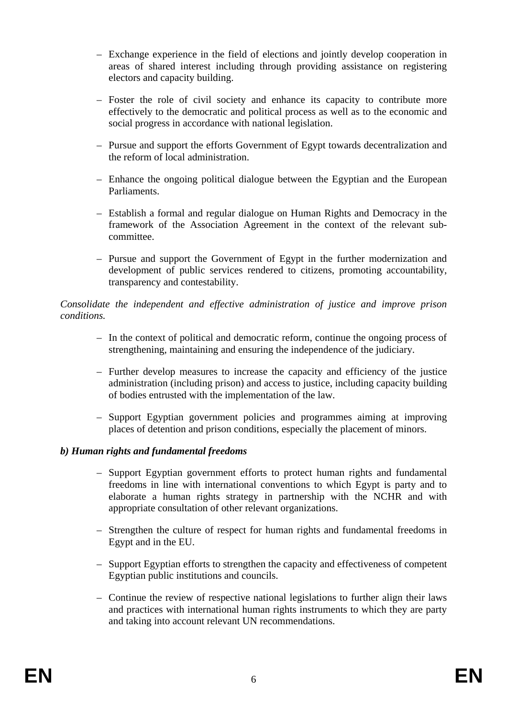- Exchange experience in the field of elections and jointly develop cooperation in areas of shared interest including through providing assistance on registering electors and capacity building.
- Foster the role of civil society and enhance its capacity to contribute more effectively to the democratic and political process as well as to the economic and social progress in accordance with national legislation.
- Pursue and support the efforts Government of Egypt towards decentralization and the reform of local administration.
- Enhance the ongoing political dialogue between the Egyptian and the European Parliaments.
- Establish a formal and regular dialogue on Human Rights and Democracy in the framework of the Association Agreement in the context of the relevant subcommittee.
- Pursue and support the Government of Egypt in the further modernization and development of public services rendered to citizens, promoting accountability, transparency and contestability.

#### *Consolidate the independent and effective administration of justice and improve prison conditions.*

- In the context of political and democratic reform, continue the ongoing process of strengthening, maintaining and ensuring the independence of the judiciary.
- Further develop measures to increase the capacity and efficiency of the justice administration (including prison) and access to justice, including capacity building of bodies entrusted with the implementation of the law.
- Support Egyptian government policies and programmes aiming at improving places of detention and prison conditions, especially the placement of minors.

## *b) Human rights and fundamental freedoms*

- Support Egyptian government efforts to protect human rights and fundamental freedoms in line with international conventions to which Egypt is party and to elaborate a human rights strategy in partnership with the NCHR and with appropriate consultation of other relevant organizations.
- Strengthen the culture of respect for human rights and fundamental freedoms in Egypt and in the EU.
- Support Egyptian efforts to strengthen the capacity and effectiveness of competent Egyptian public institutions and councils.
- Continue the review of respective national legislations to further align their laws and practices with international human rights instruments to which they are party and taking into account relevant UN recommendations.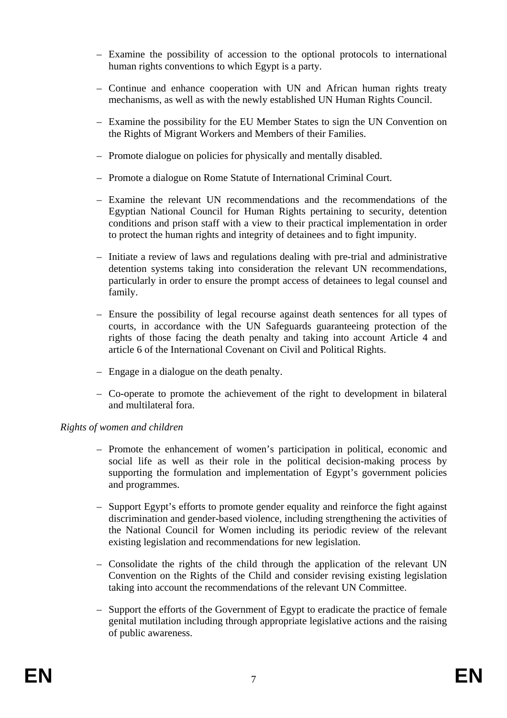- Examine the possibility of accession to the optional protocols to international human rights conventions to which Egypt is a party.
- Continue and enhance cooperation with UN and African human rights treaty mechanisms, as well as with the newly established UN Human Rights Council.
- Examine the possibility for the EU Member States to sign the UN Convention on the Rights of Migrant Workers and Members of their Families.
- Promote dialogue on policies for physically and mentally disabled.
- Promote a dialogue on Rome Statute of International Criminal Court.
- Examine the relevant UN recommendations and the recommendations of the Egyptian National Council for Human Rights pertaining to security, detention conditions and prison staff with a view to their practical implementation in order to protect the human rights and integrity of detainees and to fight impunity.
- Initiate a review of laws and regulations dealing with pre-trial and administrative detention systems taking into consideration the relevant UN recommendations, particularly in order to ensure the prompt access of detainees to legal counsel and family.
- Ensure the possibility of legal recourse against death sentences for all types of courts, in accordance with the UN Safeguards guaranteeing protection of the rights of those facing the death penalty and taking into account Article 4 and article 6 of the International Covenant on Civil and Political Rights.
- Engage in a dialogue on the death penalty.
- Co-operate to promote the achievement of the right to development in bilateral and multilateral fora.

#### *Rights of women and children*

- Promote the enhancement of women's participation in political, economic and social life as well as their role in the political decision-making process by supporting the formulation and implementation of Egypt's government policies and programmes.
- Support Egypt's efforts to promote gender equality and reinforce the fight against discrimination and gender-based violence, including strengthening the activities of the National Council for Women including its periodic review of the relevant existing legislation and recommendations for new legislation.
- Consolidate the rights of the child through the application of the relevant UN Convention on the Rights of the Child and consider revising existing legislation taking into account the recommendations of the relevant UN Committee.
- Support the efforts of the Government of Egypt to eradicate the practice of female genital mutilation including through appropriate legislative actions and the raising of public awareness.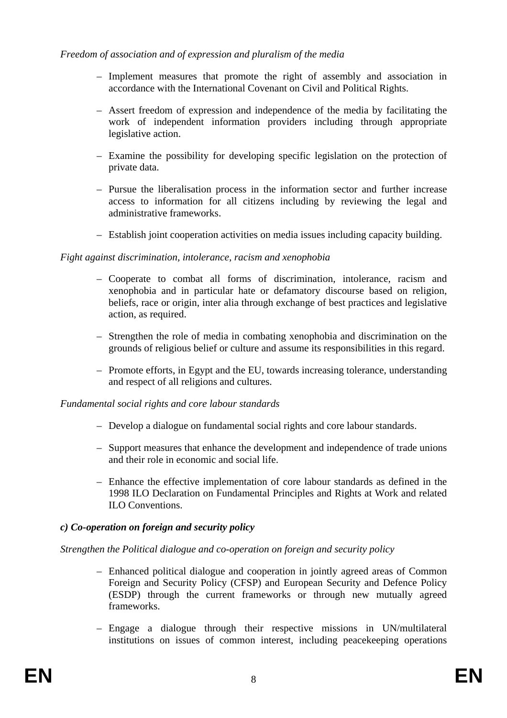#### *Freedom of association and of expression and pluralism of the media*

- Implement measures that promote the right of assembly and association in accordance with the International Covenant on Civil and Political Rights.
- Assert freedom of expression and independence of the media by facilitating the work of independent information providers including through appropriate legislative action.
- Examine the possibility for developing specific legislation on the protection of private data.
- Pursue the liberalisation process in the information sector and further increase access to information for all citizens including by reviewing the legal and administrative frameworks.
- Establish joint cooperation activities on media issues including capacity building.

#### *Fight against discrimination, intolerance, racism and xenophobia*

- Cooperate to combat all forms of discrimination, intolerance, racism and xenophobia and in particular hate or defamatory discourse based on religion, beliefs, race or origin, inter alia through exchange of best practices and legislative action, as required.
- Strengthen the role of media in combating xenophobia and discrimination on the grounds of religious belief or culture and assume its responsibilities in this regard.
- Promote efforts, in Egypt and the EU, towards increasing tolerance, understanding and respect of all religions and cultures.

#### *Fundamental social rights and core labour standards*

- Develop a dialogue on fundamental social rights and core labour standards.
- Support measures that enhance the development and independence of trade unions and their role in economic and social life.
- Enhance the effective implementation of core labour standards as defined in the 1998 ILO Declaration on Fundamental Principles and Rights at Work and related ILO Conventions.

## *c) Co-operation on foreign and security policy*

#### *Strengthen the Political dialogue and co-operation on foreign and security policy*

- Enhanced political dialogue and cooperation in jointly agreed areas of Common Foreign and Security Policy (CFSP) and European Security and Defence Policy (ESDP) through the current frameworks or through new mutually agreed frameworks.
- Engage a dialogue through their respective missions in UN/multilateral institutions on issues of common interest, including peacekeeping operations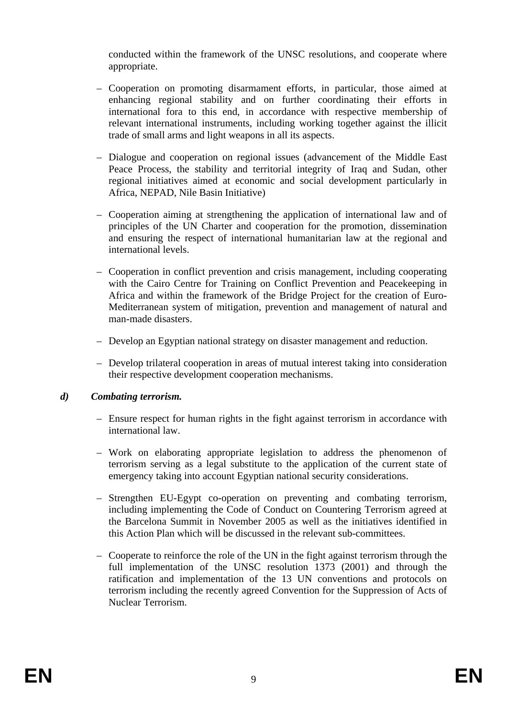conducted within the framework of the UNSC resolutions, and cooperate where appropriate.

- Cooperation on promoting disarmament efforts, in particular, those aimed at enhancing regional stability and on further coordinating their efforts in international fora to this end, in accordance with respective membership of relevant international instruments, including working together against the illicit trade of small arms and light weapons in all its aspects.
- Dialogue and cooperation on regional issues (advancement of the Middle East Peace Process, the stability and territorial integrity of Iraq and Sudan, other regional initiatives aimed at economic and social development particularly in Africa, NEPAD, Nile Basin Initiative)
- Cooperation aiming at strengthening the application of international law and of principles of the UN Charter and cooperation for the promotion, dissemination and ensuring the respect of international humanitarian law at the regional and international levels.
- Cooperation in conflict prevention and crisis management, including cooperating with the Cairo Centre for Training on Conflict Prevention and Peacekeeping in Africa and within the framework of the Bridge Project for the creation of Euro-Mediterranean system of mitigation, prevention and management of natural and man-made disasters.
- Develop an Egyptian national strategy on disaster management and reduction.
- Develop trilateral cooperation in areas of mutual interest taking into consideration their respective development cooperation mechanisms.

## *d) Combating terrorism.*

- Ensure respect for human rights in the fight against terrorism in accordance with international law.
- Work on elaborating appropriate legislation to address the phenomenon of terrorism serving as a legal substitute to the application of the current state of emergency taking into account Egyptian national security considerations.
- Strengthen EU-Egypt co-operation on preventing and combating terrorism, including implementing the Code of Conduct on Countering Terrorism agreed at the Barcelona Summit in November 2005 as well as the initiatives identified in this Action Plan which will be discussed in the relevant sub-committees.
- Cooperate to reinforce the role of the UN in the fight against terrorism through the full implementation of the UNSC resolution 1373 (2001) and through the ratification and implementation of the 13 UN conventions and protocols on terrorism including the recently agreed Convention for the Suppression of Acts of Nuclear Terrorism.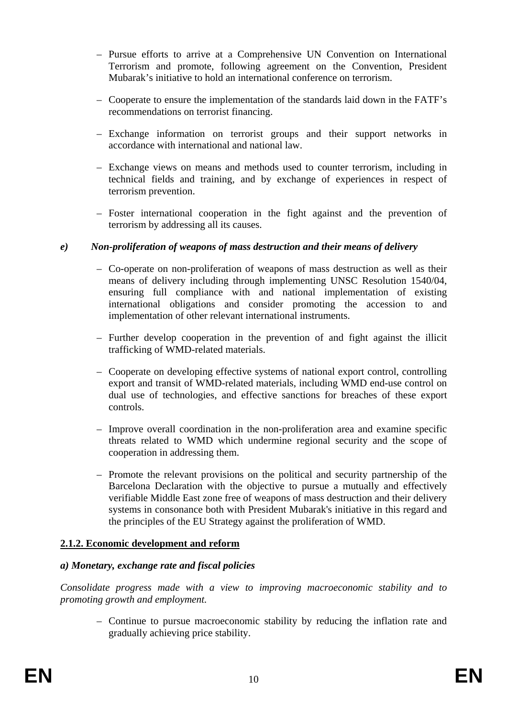- Pursue efforts to arrive at a Comprehensive UN Convention on International Terrorism and promote, following agreement on the Convention, President Mubarak's initiative to hold an international conference on terrorism.
- Cooperate to ensure the implementation of the standards laid down in the FATF's recommendations on terrorist financing.
- Exchange information on terrorist groups and their support networks in accordance with international and national law.
- Exchange views on means and methods used to counter terrorism, including in technical fields and training, and by exchange of experiences in respect of terrorism prevention.
- Foster international cooperation in the fight against and the prevention of terrorism by addressing all its causes.

## *e) Non-proliferation of weapons of mass destruction and their means of delivery*

- Co-operate on non-proliferation of weapons of mass destruction as well as their means of delivery including through implementing UNSC Resolution 1540/04, ensuring full compliance with and national implementation of existing international obligations and consider promoting the accession to and implementation of other relevant international instruments.
- Further develop cooperation in the prevention of and fight against the illicit trafficking of WMD-related materials.
- Cooperate on developing effective systems of national export control, controlling export and transit of WMD-related materials, including WMD end-use control on dual use of technologies, and effective sanctions for breaches of these export controls.
- Improve overall coordination in the non-proliferation area and examine specific threats related to WMD which undermine regional security and the scope of cooperation in addressing them.
- Promote the relevant provisions on the political and security partnership of the Barcelona Declaration with the objective to pursue a mutually and effectively verifiable Middle East zone free of weapons of mass destruction and their delivery systems in consonance both with President Mubarak's initiative in this regard and the principles of the EU Strategy against the proliferation of WMD.

## **2.1.2. Economic development and reform**

## *a) Monetary, exchange rate and fiscal policies*

*Consolidate progress made with a view to improving macroeconomic stability and to promoting growth and employment.* 

– Continue to pursue macroeconomic stability by reducing the inflation rate and gradually achieving price stability.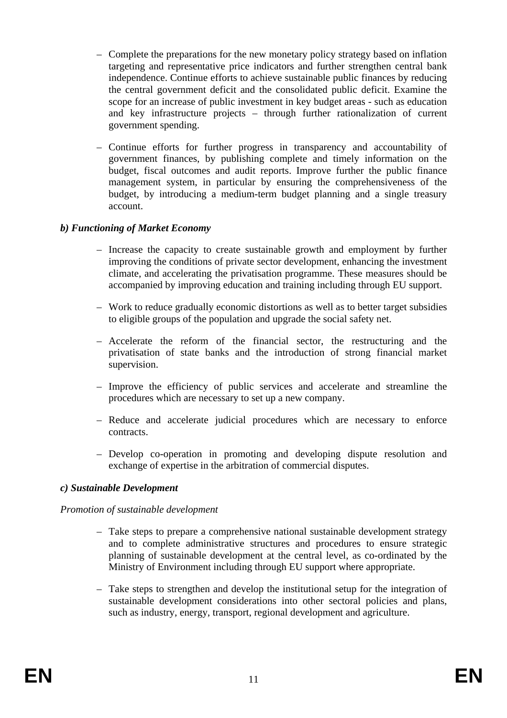- Complete the preparations for the new monetary policy strategy based on inflation targeting and representative price indicators and further strengthen central bank independence. Continue efforts to achieve sustainable public finances by reducing the central government deficit and the consolidated public deficit. Examine the scope for an increase of public investment in key budget areas - such as education and key infrastructure projects – through further rationalization of current government spending.
- Continue efforts for further progress in transparency and accountability of government finances, by publishing complete and timely information on the budget, fiscal outcomes and audit reports. Improve further the public finance management system, in particular by ensuring the comprehensiveness of the budget, by introducing a medium-term budget planning and a single treasury account.

#### *b) Functioning of Market Economy*

- Increase the capacity to create sustainable growth and employment by further improving the conditions of private sector development, enhancing the investment climate, and accelerating the privatisation programme. These measures should be accompanied by improving education and training including through EU support.
- Work to reduce gradually economic distortions as well as to better target subsidies to eligible groups of the population and upgrade the social safety net.
- Accelerate the reform of the financial sector, the restructuring and the privatisation of state banks and the introduction of strong financial market supervision.
- Improve the efficiency of public services and accelerate and streamline the procedures which are necessary to set up a new company.
- Reduce and accelerate judicial procedures which are necessary to enforce contracts.
- Develop co-operation in promoting and developing dispute resolution and exchange of expertise in the arbitration of commercial disputes.

#### *c) Sustainable Development*

#### *Promotion of sustainable development*

- Take steps to prepare a comprehensive national sustainable development strategy and to complete administrative structures and procedures to ensure strategic planning of sustainable development at the central level, as co-ordinated by the Ministry of Environment including through EU support where appropriate.
- Take steps to strengthen and develop the institutional setup for the integration of sustainable development considerations into other sectoral policies and plans, such as industry, energy, transport, regional development and agriculture.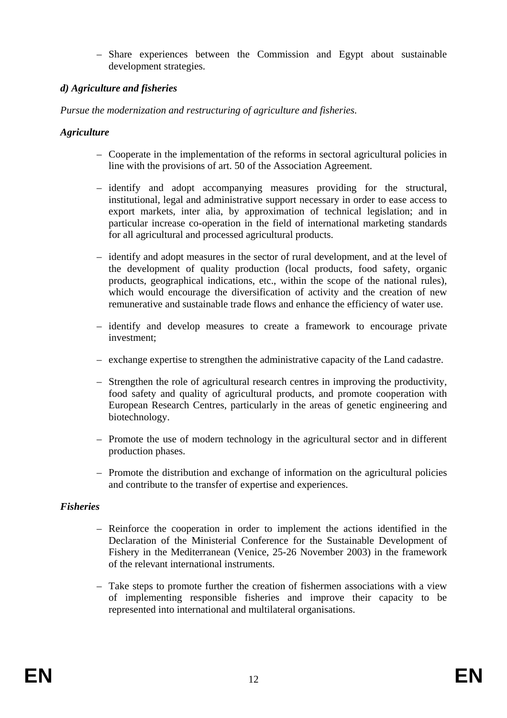– Share experiences between the Commission and Egypt about sustainable development strategies.

# *d) Agriculture and fisheries*

## *Pursue the modernization and restructuring of agriculture and fisheries.*

### *Agriculture*

- Cooperate in the implementation of the reforms in sectoral agricultural policies in line with the provisions of art. 50 of the Association Agreement.
- identify and adopt accompanying measures providing for the structural, institutional, legal and administrative support necessary in order to ease access to export markets, inter alia, by approximation of technical legislation; and in particular increase co-operation in the field of international marketing standards for all agricultural and processed agricultural products.
- identify and adopt measures in the sector of rural development, and at the level of the development of quality production (local products, food safety, organic products, geographical indications, etc., within the scope of the national rules), which would encourage the diversification of activity and the creation of new remunerative and sustainable trade flows and enhance the efficiency of water use.
- identify and develop measures to create a framework to encourage private investment;
- exchange expertise to strengthen the administrative capacity of the Land cadastre.
- Strengthen the role of agricultural research centres in improving the productivity, food safety and quality of agricultural products, and promote cooperation with European Research Centres, particularly in the areas of genetic engineering and biotechnology.
- Promote the use of modern technology in the agricultural sector and in different production phases.
- Promote the distribution and exchange of information on the agricultural policies and contribute to the transfer of expertise and experiences.

## *Fisheries*

- Reinforce the cooperation in order to implement the actions identified in the Declaration of the Ministerial Conference for the Sustainable Development of Fishery in the Mediterranean (Venice, 25-26 November 2003) in the framework of the relevant international instruments.
- Take steps to promote further the creation of fishermen associations with a view of implementing responsible fisheries and improve their capacity to be represented into international and multilateral organisations.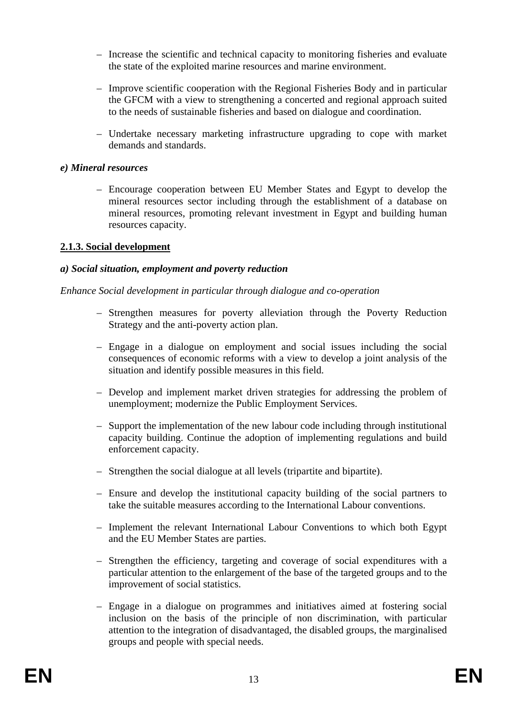- Increase the scientific and technical capacity to monitoring fisheries and evaluate the state of the exploited marine resources and marine environment.
- Improve scientific cooperation with the Regional Fisheries Body and in particular the GFCM with a view to strengthening a concerted and regional approach suited to the needs of sustainable fisheries and based on dialogue and coordination.
- Undertake necessary marketing infrastructure upgrading to cope with market demands and standards.

#### *e) Mineral resources*

– Encourage cooperation between EU Member States and Egypt to develop the mineral resources sector including through the establishment of a database on mineral resources, promoting relevant investment in Egypt and building human resources capacity.

## **2.1.3. Social development**

#### *a) Social situation, employment and poverty reduction*

#### *Enhance Social development in particular through dialogue and co-operation*

- Strengthen measures for poverty alleviation through the Poverty Reduction Strategy and the anti-poverty action plan.
- Engage in a dialogue on employment and social issues including the social consequences of economic reforms with a view to develop a joint analysis of the situation and identify possible measures in this field.
- Develop and implement market driven strategies for addressing the problem of unemployment; modernize the Public Employment Services.
- Support the implementation of the new labour code including through institutional capacity building. Continue the adoption of implementing regulations and build enforcement capacity.
- Strengthen the social dialogue at all levels (tripartite and bipartite).
- Ensure and develop the institutional capacity building of the social partners to take the suitable measures according to the International Labour conventions.
- Implement the relevant International Labour Conventions to which both Egypt and the EU Member States are parties.
- Strengthen the efficiency, targeting and coverage of social expenditures with a particular attention to the enlargement of the base of the targeted groups and to the improvement of social statistics.
- Engage in a dialogue on programmes and initiatives aimed at fostering social inclusion on the basis of the principle of non discrimination, with particular attention to the integration of disadvantaged, the disabled groups, the marginalised groups and people with special needs.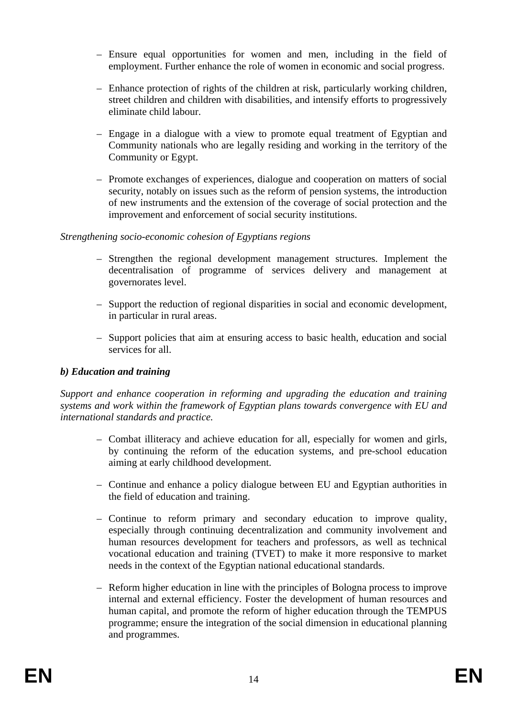- Ensure equal opportunities for women and men, including in the field of employment. Further enhance the role of women in economic and social progress.
- Enhance protection of rights of the children at risk, particularly working children, street children and children with disabilities, and intensify efforts to progressively eliminate child labour.
- Engage in a dialogue with a view to promote equal treatment of Egyptian and Community nationals who are legally residing and working in the territory of the Community or Egypt.
- Promote exchanges of experiences, dialogue and cooperation on matters of social security, notably on issues such as the reform of pension systems, the introduction of new instruments and the extension of the coverage of social protection and the improvement and enforcement of social security institutions.

#### *Strengthening socio-economic cohesion of Egyptians regions*

- Strengthen the regional development management structures. Implement the decentralisation of programme of services delivery and management at governorates level.
- Support the reduction of regional disparities in social and economic development, in particular in rural areas.
- Support policies that aim at ensuring access to basic health, education and social services for all.

## *b) Education and training*

*Support and enhance cooperation in reforming and upgrading the education and training systems and work within the framework of Egyptian plans towards convergence with EU and international standards and practice.* 

- Combat illiteracy and achieve education for all, especially for women and girls, by continuing the reform of the education systems, and pre-school education aiming at early childhood development.
- Continue and enhance a policy dialogue between EU and Egyptian authorities in the field of education and training.
- Continue to reform primary and secondary education to improve quality, especially through continuing decentralization and community involvement and human resources development for teachers and professors, as well as technical vocational education and training (TVET) to make it more responsive to market needs in the context of the Egyptian national educational standards.
- Reform higher education in line with the principles of Bologna process to improve internal and external efficiency. Foster the development of human resources and human capital, and promote the reform of higher education through the TEMPUS programme; ensure the integration of the social dimension in educational planning and programmes.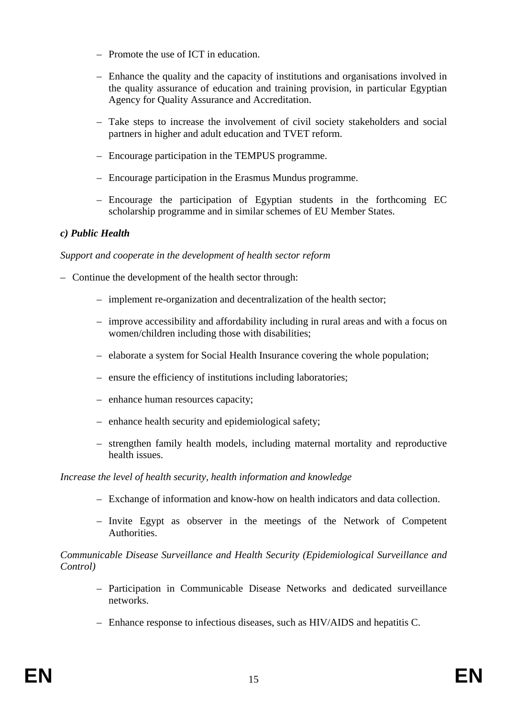- Promote the use of ICT in education.
- Enhance the quality and the capacity of institutions and organisations involved in the quality assurance of education and training provision, in particular Egyptian Agency for Quality Assurance and Accreditation.
- Take steps to increase the involvement of civil society stakeholders and social partners in higher and adult education and TVET reform.
- Encourage participation in the TEMPUS programme.
- Encourage participation in the Erasmus Mundus programme.
- Encourage the participation of Egyptian students in the forthcoming EC scholarship programme and in similar schemes of EU Member States.

# *c) Public Health*

#### *Support and cooperate in the development of health sector reform*

- Continue the development of the health sector through:
	- implement re-organization and decentralization of the health sector;
	- improve accessibility and affordability including in rural areas and with a focus on women/children including those with disabilities;
	- elaborate a system for Social Health Insurance covering the whole population;
	- ensure the efficiency of institutions including laboratories;
	- enhance human resources capacity;
	- enhance health security and epidemiological safety;
	- strengthen family health models, including maternal mortality and reproductive health issues.

#### *Increase the level of health security, health information and knowledge*

- Exchange of information and know-how on health indicators and data collection.
- Invite Egypt as observer in the meetings of the Network of Competent Authorities.

#### *Communicable Disease Surveillance and Health Security (Epidemiological Surveillance and Control)*

- Participation in Communicable Disease Networks and dedicated surveillance networks.
- Enhance response to infectious diseases, such as HIV/AIDS and hepatitis C.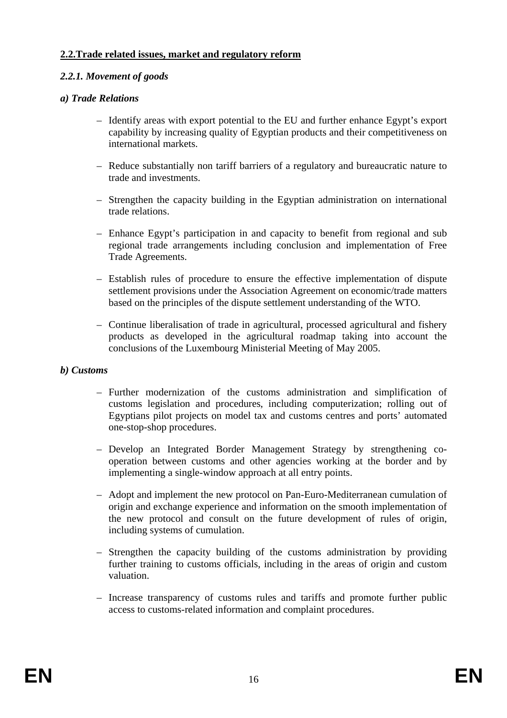### **2.2.Trade related issues, market and regulatory reform**

## *2.2.1. Movement of goods*

### *a) Trade Relations*

- Identify areas with export potential to the EU and further enhance Egypt's export capability by increasing quality of Egyptian products and their competitiveness on international markets.
- Reduce substantially non tariff barriers of a regulatory and bureaucratic nature to trade and investments.
- Strengthen the capacity building in the Egyptian administration on international trade relations.
- Enhance Egypt's participation in and capacity to benefit from regional and sub regional trade arrangements including conclusion and implementation of Free Trade Agreements.
- Establish rules of procedure to ensure the effective implementation of dispute settlement provisions under the Association Agreement on economic/trade matters based on the principles of the dispute settlement understanding of the WTO.
- Continue liberalisation of trade in agricultural, processed agricultural and fishery products as developed in the agricultural roadmap taking into account the conclusions of the Luxembourg Ministerial Meeting of May 2005.

## *b) Customs*

- Further modernization of the customs administration and simplification of customs legislation and procedures, including computerization; rolling out of Egyptians pilot projects on model tax and customs centres and ports' automated one-stop-shop procedures.
- Develop an Integrated Border Management Strategy by strengthening cooperation between customs and other agencies working at the border and by implementing a single-window approach at all entry points.
- Adopt and implement the new protocol on Pan-Euro-Mediterranean cumulation of origin and exchange experience and information on the smooth implementation of the new protocol and consult on the future development of rules of origin, including systems of cumulation.
- Strengthen the capacity building of the customs administration by providing further training to customs officials, including in the areas of origin and custom valuation.
- Increase transparency of customs rules and tariffs and promote further public access to customs-related information and complaint procedures.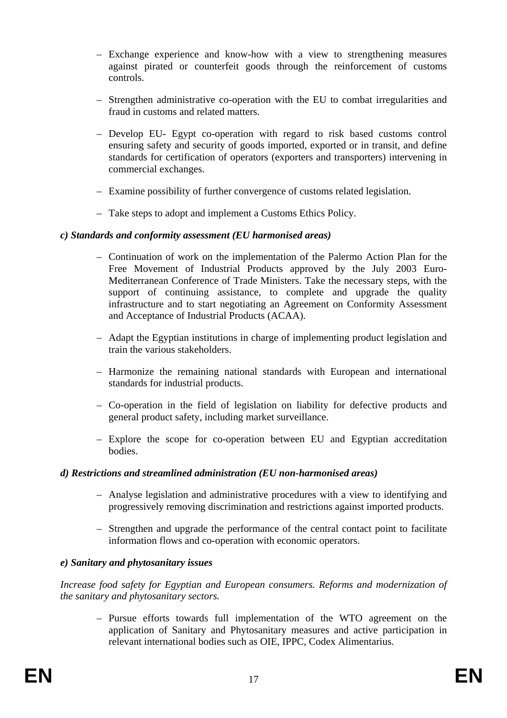- Exchange experience and know-how with a view to strengthening measures against pirated or counterfeit goods through the reinforcement of customs controls.
- Strengthen administrative co-operation with the EU to combat irregularities and fraud in customs and related matters.
- Develop EU- Egypt co-operation with regard to risk based customs control ensuring safety and security of goods imported, exported or in transit, and define standards for certification of operators (exporters and transporters) intervening in commercial exchanges.
- Examine possibility of further convergence of customs related legislation.
- Take steps to adopt and implement a Customs Ethics Policy.

# *c) Standards and conformity assessment (EU harmonised areas)*

- Continuation of work on the implementation of the Palermo Action Plan for the Free Movement of Industrial Products approved by the July 2003 Euro-Mediterranean Conference of Trade Ministers. Take the necessary steps, with the support of continuing assistance, to complete and upgrade the quality infrastructure and to start negotiating an Agreement on Conformity Assessment and Acceptance of Industrial Products (ACAA).
- Adapt the Egyptian institutions in charge of implementing product legislation and train the various stakeholders.
- Harmonize the remaining national standards with European and international standards for industrial products.
- Co-operation in the field of legislation on liability for defective products and general product safety, including market surveillance.
- Explore the scope for co-operation between EU and Egyptian accreditation bodies.

## *d) Restrictions and streamlined administration (EU non-harmonised areas)*

- Analyse legislation and administrative procedures with a view to identifying and progressively removing discrimination and restrictions against imported products.
- Strengthen and upgrade the performance of the central contact point to facilitate information flows and co-operation with economic operators.

## *e) Sanitary and phytosanitary issues*

*Increase food safety for Egyptian and European consumers. Reforms and modernization of the sanitary and phytosanitary sectors.* 

– Pursue efforts towards full implementation of the WTO agreement on the application of Sanitary and Phytosanitary measures and active participation in relevant international bodies such as OIE, IPPC, Codex Alimentarius.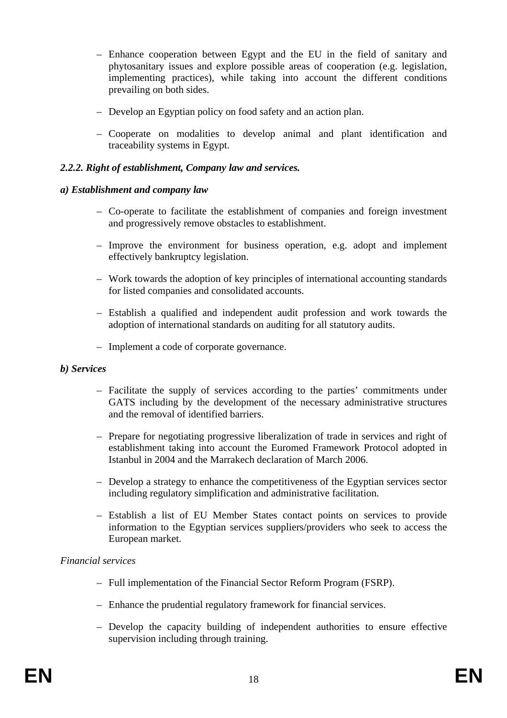- Enhance cooperation between Egypt and the EU in the field of sanitary and phytosanitary issues and explore possible areas of cooperation (e.g. legislation, implementing practices), while taking into account the different conditions prevailing on both sides.
- Develop an Egyptian policy on food safety and an action plan.
- Cooperate on modalities to develop animal and plant identification and traceability systems in Egypt.

## *2.2.2. Right of establishment, Company law and services.*

#### *a) Establishment and company law*

- Co-operate to facilitate the establishment of companies and foreign investment and progressively remove obstacles to establishment.
- Improve the environment for business operation, e.g. adopt and implement effectively bankruptcy legislation.
- Work towards the adoption of key principles of international accounting standards for listed companies and consolidated accounts.
- Establish a qualified and independent audit profession and work towards the adoption of international standards on auditing for all statutory audits.
- Implement a code of corporate governance.

#### *b) Services*

- Facilitate the supply of services according to the parties' commitments under GATS including by the development of the necessary administrative structures and the removal of identified barriers.
- Prepare for negotiating progressive liberalization of trade in services and right of establishment taking into account the Euromed Framework Protocol adopted in Istanbul in 2004 and the Marrakech declaration of March 2006.
- Develop a strategy to enhance the competitiveness of the Egyptian services sector including regulatory simplification and administrative facilitation.
- Establish a list of EU Member States contact points on services to provide information to the Egyptian services suppliers/providers who seek to access the European market.

## *Financial services*

- Full implementation of the Financial Sector Reform Program (FSRP).
- Enhance the prudential regulatory framework for financial services.
- Develop the capacity building of independent authorities to ensure effective supervision including through training.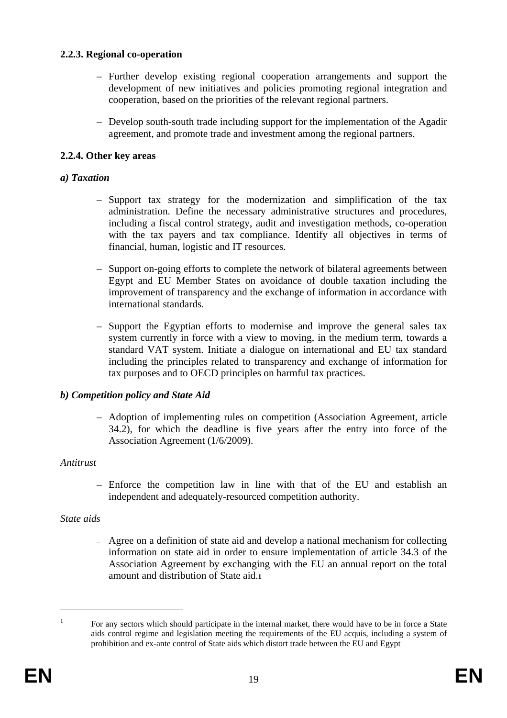### **2.2.3. Regional co-operation**

- Further develop existing regional cooperation arrangements and support the development of new initiatives and policies promoting regional integration and cooperation, based on the priorities of the relevant regional partners.
- Develop south-south trade including support for the implementation of the Agadir agreement, and promote trade and investment among the regional partners.

# **2.2.4. Other key areas**

## *a) Taxation*

- Support tax strategy for the modernization and simplification of the tax administration. Define the necessary administrative structures and procedures, including a fiscal control strategy, audit and investigation methods, co-operation with the tax payers and tax compliance. Identify all objectives in terms of financial, human, logistic and IT resources.
- Support on-going efforts to complete the network of bilateral agreements between Egypt and EU Member States on avoidance of double taxation including the improvement of transparency and the exchange of information in accordance with international standards.
- Support the Egyptian efforts to modernise and improve the general sales tax system currently in force with a view to moving, in the medium term, towards a standard VAT system. Initiate a dialogue on international and EU tax standard including the principles related to transparency and exchange of information for tax purposes and to OECD principles on harmful tax practices.

## *b) Competition policy and State Aid*

– Adoption of implementing rules on competition (Association Agreement, article 34.2), for which the deadline is five years after the entry into force of the Association Agreement (1/6/2009).

## *Antitrust*

– Enforce the competition law in line with that of the EU and establish an independent and adequately-resourced competition authority.

## *State aids*

– Agree on a definition of state aid and develop a national mechanism for collecting information on state aid in order to ensure implementation of article 34.3 of the Association Agreement by exchanging with the EU an annual report on the total amount and distribution of State aid.**<sup>1</sup>**

<u>.</u>

<sup>1</sup> For any sectors which should participate in the internal market, there would have to be in force a State aids control regime and legislation meeting the requirements of the EU acquis, including a system of prohibition and ex-ante control of State aids which distort trade between the EU and Egypt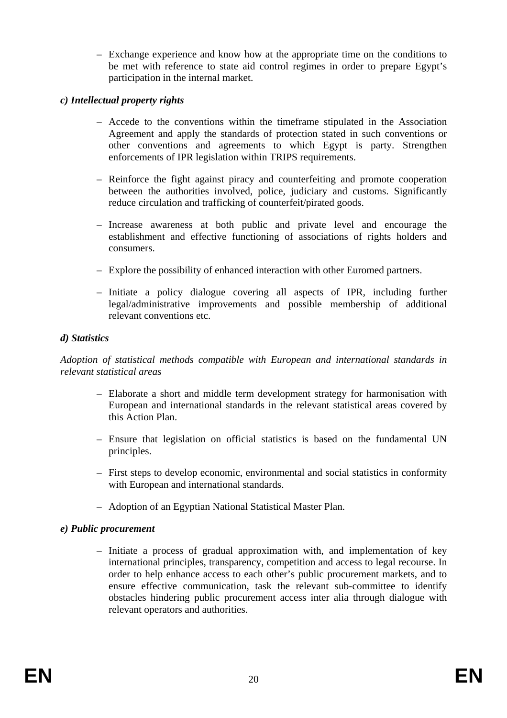– Exchange experience and know how at the appropriate time on the conditions to be met with reference to state aid control regimes in order to prepare Egypt's participation in the internal market.

## *c) Intellectual property rights*

- Accede to the conventions within the timeframe stipulated in the Association Agreement and apply the standards of protection stated in such conventions or other conventions and agreements to which Egypt is party. Strengthen enforcements of IPR legislation within TRIPS requirements.
- Reinforce the fight against piracy and counterfeiting and promote cooperation between the authorities involved, police, judiciary and customs. Significantly reduce circulation and trafficking of counterfeit/pirated goods.
- Increase awareness at both public and private level and encourage the establishment and effective functioning of associations of rights holders and consumers.
- Explore the possibility of enhanced interaction with other Euromed partners.
- Initiate a policy dialogue covering all aspects of IPR, including further legal/administrative improvements and possible membership of additional relevant conventions etc.

#### *d) Statistics*

*Adoption of statistical methods compatible with European and international standards in relevant statistical areas* 

- Elaborate a short and middle term development strategy for harmonisation with European and international standards in the relevant statistical areas covered by this Action Plan.
- Ensure that legislation on official statistics is based on the fundamental UN principles.
- First steps to develop economic, environmental and social statistics in conformity with European and international standards.
- Adoption of an Egyptian National Statistical Master Plan.

#### *e) Public procurement*

– Initiate a process of gradual approximation with, and implementation of key international principles, transparency, competition and access to legal recourse. In order to help enhance access to each other's public procurement markets, and to ensure effective communication, task the relevant sub-committee to identify obstacles hindering public procurement access inter alia through dialogue with relevant operators and authorities.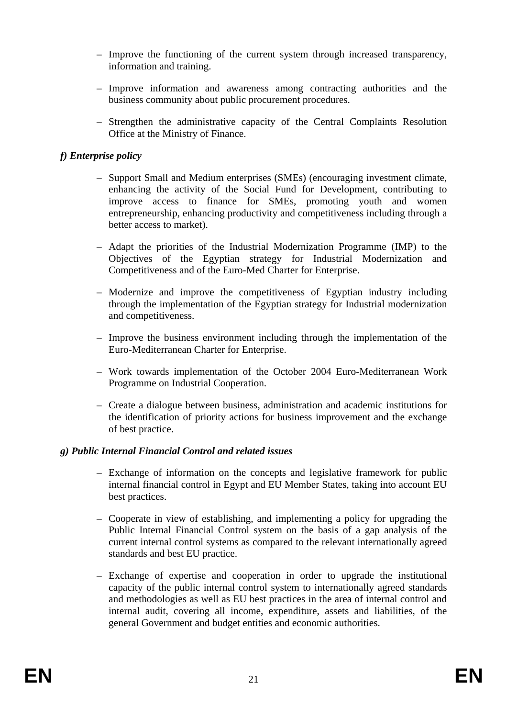- Improve the functioning of the current system through increased transparency, information and training.
- Improve information and awareness among contracting authorities and the business community about public procurement procedures.
- Strengthen the administrative capacity of the Central Complaints Resolution Office at the Ministry of Finance.

# *f) Enterprise policy*

- Support Small and Medium enterprises (SMEs) (encouraging investment climate, enhancing the activity of the Social Fund for Development, contributing to improve access to finance for SMEs, promoting youth and women entrepreneurship, enhancing productivity and competitiveness including through a better access to market).
- Adapt the priorities of the Industrial Modernization Programme (IMP) to the Objectives of the Egyptian strategy for Industrial Modernization and Competitiveness and of the Euro-Med Charter for Enterprise.
- Modernize and improve the competitiveness of Egyptian industry including through the implementation of the Egyptian strategy for Industrial modernization and competitiveness.
- Improve the business environment including through the implementation of the Euro-Mediterranean Charter for Enterprise.
- Work towards implementation of the October 2004 Euro-Mediterranean Work Programme on Industrial Cooperation.
- Create a dialogue between business, administration and academic institutions for the identification of priority actions for business improvement and the exchange of best practice.

## *g) Public Internal Financial Control and related issues*

- Exchange of information on the concepts and legislative framework for public internal financial control in Egypt and EU Member States, taking into account EU best practices.
- Cooperate in view of establishing, and implementing a policy for upgrading the Public Internal Financial Control system on the basis of a gap analysis of the current internal control systems as compared to the relevant internationally agreed standards and best EU practice.
- Exchange of expertise and cooperation in order to upgrade the institutional capacity of the public internal control system to internationally agreed standards and methodologies as well as EU best practices in the area of internal control and internal audit, covering all income, expenditure, assets and liabilities, of the general Government and budget entities and economic authorities.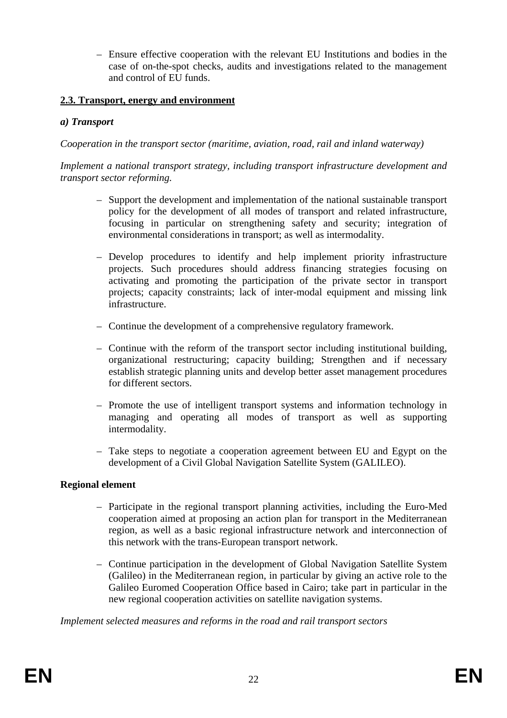– Ensure effective cooperation with the relevant EU Institutions and bodies in the case of on-the-spot checks, audits and investigations related to the management and control of EU funds.

### **2.3. Transport, energy and environment**

#### *a) Transport*

#### *Cooperation in the transport sector (maritime, aviation, road, rail and inland waterway)*

*Implement a national transport strategy, including transport infrastructure development and transport sector reforming.* 

- Support the development and implementation of the national sustainable transport policy for the development of all modes of transport and related infrastructure, focusing in particular on strengthening safety and security; integration of environmental considerations in transport; as well as intermodality.
- Develop procedures to identify and help implement priority infrastructure projects. Such procedures should address financing strategies focusing on activating and promoting the participation of the private sector in transport projects; capacity constraints; lack of inter-modal equipment and missing link infrastructure.
- Continue the development of a comprehensive regulatory framework.
- Continue with the reform of the transport sector including institutional building, organizational restructuring; capacity building; Strengthen and if necessary establish strategic planning units and develop better asset management procedures for different sectors.
- Promote the use of intelligent transport systems and information technology in managing and operating all modes of transport as well as supporting intermodality.
- Take steps to negotiate a cooperation agreement between EU and Egypt on the development of a Civil Global Navigation Satellite System (GALILEO).

#### **Regional element**

- Participate in the regional transport planning activities, including the Euro-Med cooperation aimed at proposing an action plan for transport in the Mediterranean region, as well as a basic regional infrastructure network and interconnection of this network with the trans-European transport network.
- Continue participation in the development of Global Navigation Satellite System (Galileo) in the Mediterranean region, in particular by giving an active role to the Galileo Euromed Cooperation Office based in Cairo; take part in particular in the new regional cooperation activities on satellite navigation systems.

*Implement selected measures and reforms in the road and rail transport sectors*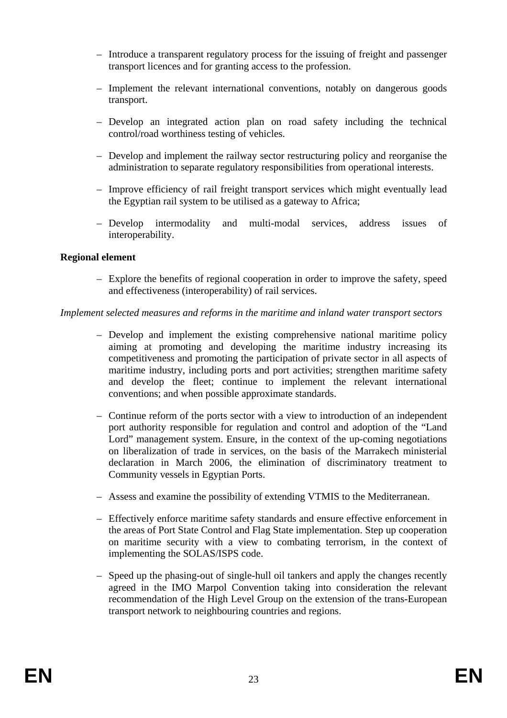- Introduce a transparent regulatory process for the issuing of freight and passenger transport licences and for granting access to the profession.
- Implement the relevant international conventions, notably on dangerous goods transport.
- Develop an integrated action plan on road safety including the technical control/road worthiness testing of vehicles.
- Develop and implement the railway sector restructuring policy and reorganise the administration to separate regulatory responsibilities from operational interests.
- Improve efficiency of rail freight transport services which might eventually lead the Egyptian rail system to be utilised as a gateway to Africa;
- Develop intermodality and multi-modal services, address issues of interoperability.

#### **Regional element**

– Explore the benefits of regional cooperation in order to improve the safety, speed and effectiveness (interoperability) of rail services.

#### *Implement selected measures and reforms in the maritime and inland water transport sectors*

- Develop and implement the existing comprehensive national maritime policy aiming at promoting and developing the maritime industry increasing its competitiveness and promoting the participation of private sector in all aspects of maritime industry, including ports and port activities; strengthen maritime safety and develop the fleet; continue to implement the relevant international conventions; and when possible approximate standards.
- Continue reform of the ports sector with a view to introduction of an independent port authority responsible for regulation and control and adoption of the "Land Lord" management system. Ensure, in the context of the up-coming negotiations on liberalization of trade in services, on the basis of the Marrakech ministerial declaration in March 2006, the elimination of discriminatory treatment to Community vessels in Egyptian Ports.
- Assess and examine the possibility of extending VTMIS to the Mediterranean.
- Effectively enforce maritime safety standards and ensure effective enforcement in the areas of Port State Control and Flag State implementation. Step up cooperation on maritime security with a view to combating terrorism, in the context of implementing the SOLAS/ISPS code.
- Speed up the phasing-out of single-hull oil tankers and apply the changes recently agreed in the IMO Marpol Convention taking into consideration the relevant recommendation of the High Level Group on the extension of the trans-European transport network to neighbouring countries and regions.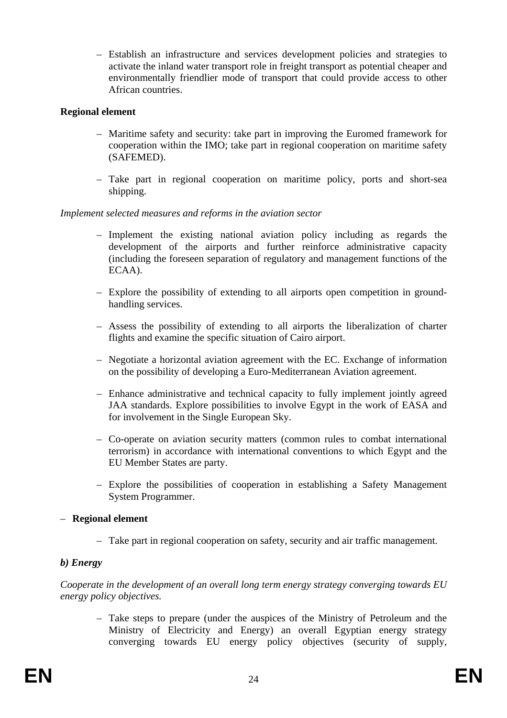– Establish an infrastructure and services development policies and strategies to activate the inland water transport role in freight transport as potential cheaper and environmentally friendlier mode of transport that could provide access to other African countries.

#### **Regional element**

- Maritime safety and security: take part in improving the Euromed framework for cooperation within the IMO; take part in regional cooperation on maritime safety (SAFEMED).
- Take part in regional cooperation on maritime policy, ports and short-sea shipping.

#### *Implement selected measures and reforms in the aviation sector*

- Implement the existing national aviation policy including as regards the development of the airports and further reinforce administrative capacity (including the foreseen separation of regulatory and management functions of the ECAA).
- Explore the possibility of extending to all airports open competition in groundhandling services.
- Assess the possibility of extending to all airports the liberalization of charter flights and examine the specific situation of Cairo airport.
- Negotiate a horizontal aviation agreement with the EC. Exchange of information on the possibility of developing a Euro-Mediterranean Aviation agreement.
- Enhance administrative and technical capacity to fully implement jointly agreed JAA standards. Explore possibilities to involve Egypt in the work of EASA and for involvement in the Single European Sky.
- Co-operate on aviation security matters (common rules to combat international terrorism) in accordance with international conventions to which Egypt and the EU Member States are party.
- Explore the possibilities of cooperation in establishing a Safety Management System Programmer.

#### – **Regional element**

– Take part in regional cooperation on safety, security and air traffic management.

## *b) Energy*

*Cooperate in the development of an overall long term energy strategy converging towards EU energy policy objectives.* 

– Take steps to prepare (under the auspices of the Ministry of Petroleum and the Ministry of Electricity and Energy) an overall Egyptian energy strategy converging towards EU energy policy objectives (security of supply,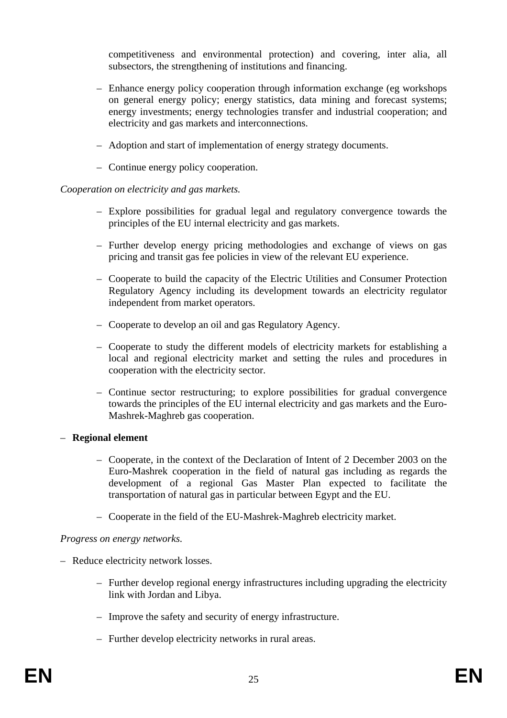competitiveness and environmental protection) and covering, inter alia, all subsectors, the strengthening of institutions and financing.

- Enhance energy policy cooperation through information exchange (eg workshops on general energy policy; energy statistics, data mining and forecast systems; energy investments; energy technologies transfer and industrial cooperation; and electricity and gas markets and interconnections.
- Adoption and start of implementation of energy strategy documents.
- Continue energy policy cooperation.

#### *Cooperation on electricity and gas markets.*

- Explore possibilities for gradual legal and regulatory convergence towards the principles of the EU internal electricity and gas markets.
- Further develop energy pricing methodologies and exchange of views on gas pricing and transit gas fee policies in view of the relevant EU experience.
- Cooperate to build the capacity of the Electric Utilities and Consumer Protection Regulatory Agency including its development towards an electricity regulator independent from market operators.
- Cooperate to develop an oil and gas Regulatory Agency.
- Cooperate to study the different models of electricity markets for establishing a local and regional electricity market and setting the rules and procedures in cooperation with the electricity sector.
- Continue sector restructuring; to explore possibilities for gradual convergence towards the principles of the EU internal electricity and gas markets and the Euro-Mashrek-Maghreb gas cooperation.

#### – **Regional element**

- Cooperate, in the context of the Declaration of Intent of 2 December 2003 on the Euro-Mashrek cooperation in the field of natural gas including as regards the development of a regional Gas Master Plan expected to facilitate the transportation of natural gas in particular between Egypt and the EU.
- Cooperate in the field of the EU-Mashrek-Maghreb electricity market.

#### *Progress on energy networks.*

- Reduce electricity network losses.
	- Further develop regional energy infrastructures including upgrading the electricity link with Jordan and Libya.
	- Improve the safety and security of energy infrastructure.
	- Further develop electricity networks in rural areas.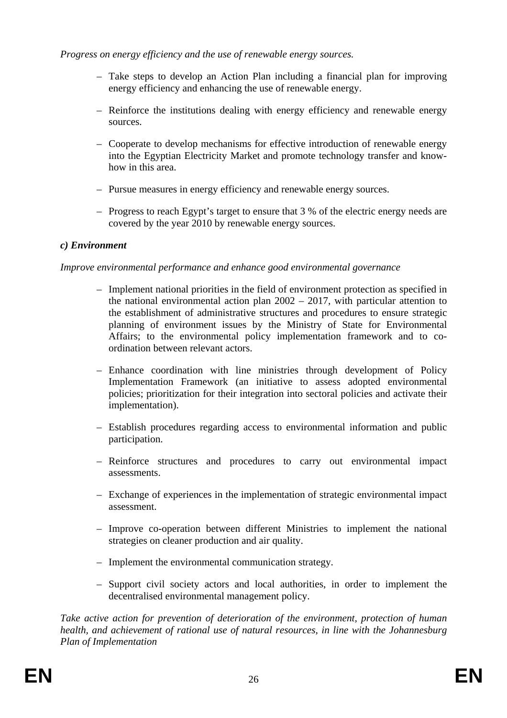*Progress on energy efficiency and the use of renewable energy sources.* 

- Take steps to develop an Action Plan including a financial plan for improving energy efficiency and enhancing the use of renewable energy.
- Reinforce the institutions dealing with energy efficiency and renewable energy sources.
- Cooperate to develop mechanisms for effective introduction of renewable energy into the Egyptian Electricity Market and promote technology transfer and knowhow in this area.
- Pursue measures in energy efficiency and renewable energy sources.
- Progress to reach Egypt's target to ensure that 3 % of the electric energy needs are covered by the year 2010 by renewable energy sources.

# *c) Environment*

## *Improve environmental performance and enhance good environmental governance*

- Implement national priorities in the field of environment protection as specified in the national environmental action plan 2002 – 2017, with particular attention to the establishment of administrative structures and procedures to ensure strategic planning of environment issues by the Ministry of State for Environmental Affairs; to the environmental policy implementation framework and to coordination between relevant actors.
- Enhance coordination with line ministries through development of Policy Implementation Framework (an initiative to assess adopted environmental policies; prioritization for their integration into sectoral policies and activate their implementation).
- Establish procedures regarding access to environmental information and public participation.
- Reinforce structures and procedures to carry out environmental impact assessments.
- Exchange of experiences in the implementation of strategic environmental impact assessment.
- Improve co-operation between different Ministries to implement the national strategies on cleaner production and air quality.
- Implement the environmental communication strategy.
- Support civil society actors and local authorities, in order to implement the decentralised environmental management policy.

*Take active action for prevention of deterioration of the environment, protection of human health, and achievement of rational use of natural resources, in line with the Johannesburg Plan of Implementation*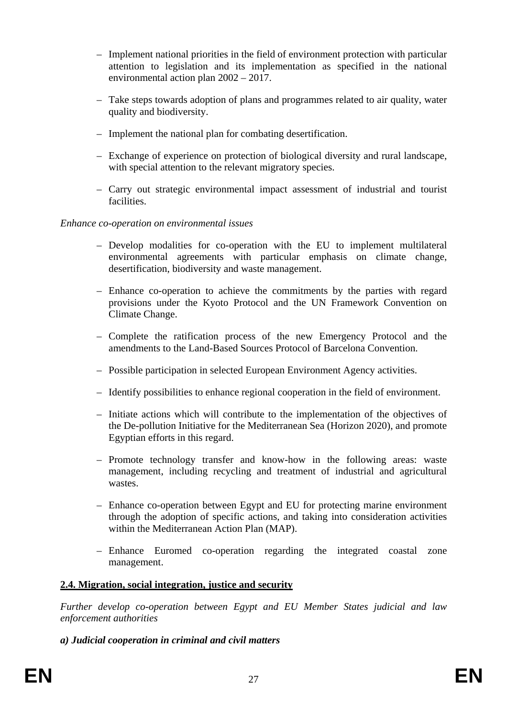- Implement national priorities in the field of environment protection with particular attention to legislation and its implementation as specified in the national environmental action plan 2002 – 2017.
- Take steps towards adoption of plans and programmes related to air quality, water quality and biodiversity.
- Implement the national plan for combating desertification.
- Exchange of experience on protection of biological diversity and rural landscape, with special attention to the relevant migratory species.
- Carry out strategic environmental impact assessment of industrial and tourist facilities.

#### *Enhance co-operation on environmental issues*

- Develop modalities for co-operation with the EU to implement multilateral environmental agreements with particular emphasis on climate change, desertification, biodiversity and waste management.
- Enhance co-operation to achieve the commitments by the parties with regard provisions under the Kyoto Protocol and the UN Framework Convention on Climate Change.
- Complete the ratification process of the new Emergency Protocol and the amendments to the Land-Based Sources Protocol of Barcelona Convention.
- Possible participation in selected European Environment Agency activities.
- Identify possibilities to enhance regional cooperation in the field of environment.
- Initiate actions which will contribute to the implementation of the objectives of the De-pollution Initiative for the Mediterranean Sea (Horizon 2020), and promote Egyptian efforts in this regard.
- Promote technology transfer and know-how in the following areas: waste management, including recycling and treatment of industrial and agricultural wastes.
- Enhance co-operation between Egypt and EU for protecting marine environment through the adoption of specific actions, and taking into consideration activities within the Mediterranean Action Plan (MAP).
- Enhance Euromed co-operation regarding the integrated coastal zone management.

## **2.4. Migration, social integration, justice and security**

*Further develop co-operation between Egypt and EU Member States judicial and law enforcement authorities* 

## *a) Judicial cooperation in criminal and civil matters*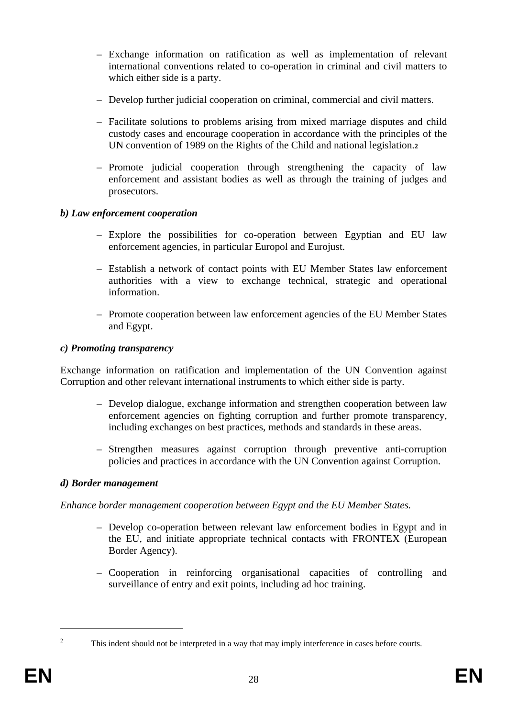- Exchange information on ratification as well as implementation of relevant international conventions related to co-operation in criminal and civil matters to which either side is a party.
- Develop further judicial cooperation on criminal, commercial and civil matters.
- Facilitate solutions to problems arising from mixed marriage disputes and child custody cases and encourage cooperation in accordance with the principles of the UN convention of 1989 on the Rights of the Child and national legislation.**<sup>2</sup>**
- Promote judicial cooperation through strengthening the capacity of law enforcement and assistant bodies as well as through the training of judges and prosecutors.

#### *b) Law enforcement cooperation*

- Explore the possibilities for co-operation between Egyptian and EU law enforcement agencies, in particular Europol and Eurojust.
- Establish a network of contact points with EU Member States law enforcement authorities with a view to exchange technical, strategic and operational information.
- Promote cooperation between law enforcement agencies of the EU Member States and Egypt.

#### *c) Promoting transparency*

Exchange information on ratification and implementation of the UN Convention against Corruption and other relevant international instruments to which either side is party.

- Develop dialogue, exchange information and strengthen cooperation between law enforcement agencies on fighting corruption and further promote transparency, including exchanges on best practices, methods and standards in these areas.
- Strengthen measures against corruption through preventive anti-corruption policies and practices in accordance with the UN Convention against Corruption.

#### *d) Border management*

## *Enhance border management cooperation between Egypt and the EU Member States.*

- Develop co-operation between relevant law enforcement bodies in Egypt and in the EU, and initiate appropriate technical contacts with FRONTEX (European Border Agency).
- Cooperation in reinforcing organisational capacities of controlling and surveillance of entry and exit points, including ad hoc training.

<sup>1</sup> 2

This indent should not be interpreted in a way that may imply interference in cases before courts.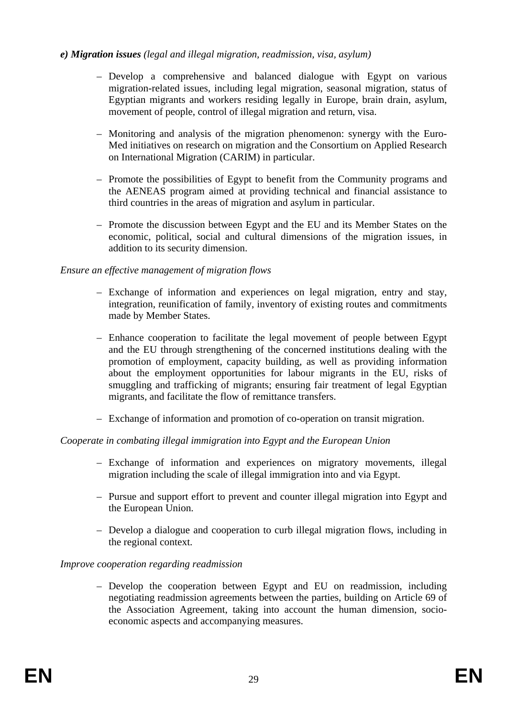#### *e) Migration issues (legal and illegal migration, readmission, visa, asylum)*

- Develop a comprehensive and balanced dialogue with Egypt on various migration-related issues, including legal migration, seasonal migration, status of Egyptian migrants and workers residing legally in Europe, brain drain, asylum, movement of people, control of illegal migration and return, visa.
- Monitoring and analysis of the migration phenomenon: synergy with the Euro-Med initiatives on research on migration and the Consortium on Applied Research on International Migration (CARIM) in particular.
- Promote the possibilities of Egypt to benefit from the Community programs and the AENEAS program aimed at providing technical and financial assistance to third countries in the areas of migration and asylum in particular.
- Promote the discussion between Egypt and the EU and its Member States on the economic, political, social and cultural dimensions of the migration issues, in addition to its security dimension.

#### *Ensure an effective management of migration flows*

- Exchange of information and experiences on legal migration, entry and stay, integration, reunification of family, inventory of existing routes and commitments made by Member States.
- Enhance cooperation to facilitate the legal movement of people between Egypt and the EU through strengthening of the concerned institutions dealing with the promotion of employment, capacity building, as well as providing information about the employment opportunities for labour migrants in the EU, risks of smuggling and trafficking of migrants; ensuring fair treatment of legal Egyptian migrants, and facilitate the flow of remittance transfers.
- Exchange of information and promotion of co-operation on transit migration.

## *Cooperate in combating illegal immigration into Egypt and the European Union*

- Exchange of information and experiences on migratory movements, illegal migration including the scale of illegal immigration into and via Egypt.
- Pursue and support effort to prevent and counter illegal migration into Egypt and the European Union.
- Develop a dialogue and cooperation to curb illegal migration flows, including in the regional context.

#### *Improve cooperation regarding readmission*

– Develop the cooperation between Egypt and EU on readmission, including negotiating readmission agreements between the parties, building on Article 69 of the Association Agreement, taking into account the human dimension, socioeconomic aspects and accompanying measures.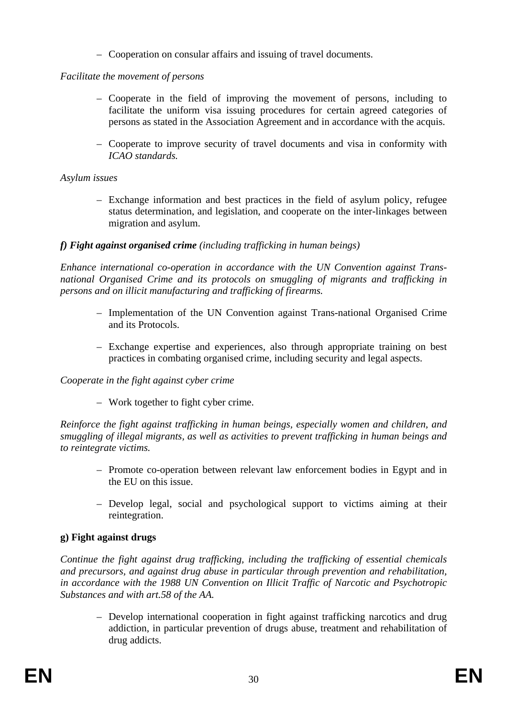– Cooperation on consular affairs and issuing of travel documents.

# *Facilitate the movement of persons*

- Cooperate in the field of improving the movement of persons, including to facilitate the uniform visa issuing procedures for certain agreed categories of persons as stated in the Association Agreement and in accordance with the acquis.
- Cooperate to improve security of travel documents and visa in conformity with *ICAO standards.*

# *Asylum issues*

– Exchange information and best practices in the field of asylum policy, refugee status determination, and legislation, and cooperate on the inter-linkages between migration and asylum.

# *f) Fight against organised crime (including trafficking in human beings)*

*Enhance international co-operation in accordance with the UN Convention against Transnational Organised Crime and its protocols on smuggling of migrants and trafficking in persons and on illicit manufacturing and trafficking of firearms.* 

- Implementation of the UN Convention against Trans-national Organised Crime and its Protocols.
- Exchange expertise and experiences, also through appropriate training on best practices in combating organised crime, including security and legal aspects.

## *Cooperate in the fight against cyber crime*

– Work together to fight cyber crime.

*Reinforce the fight against trafficking in human beings, especially women and children, and smuggling of illegal migrants, as well as activities to prevent trafficking in human beings and to reintegrate victims.* 

- Promote co-operation between relevant law enforcement bodies in Egypt and in the EU on this issue.
- Develop legal, social and psychological support to victims aiming at their reintegration.

# **g) Fight against drugs**

*Continue the fight against drug trafficking, including the trafficking of essential chemicals and precursors, and against drug abuse in particular through prevention and rehabilitation, in accordance with the 1988 UN Convention on Illicit Traffic of Narcotic and Psychotropic Substances and with art.58 of the AA.* 

– Develop international cooperation in fight against trafficking narcotics and drug addiction, in particular prevention of drugs abuse, treatment and rehabilitation of drug addicts.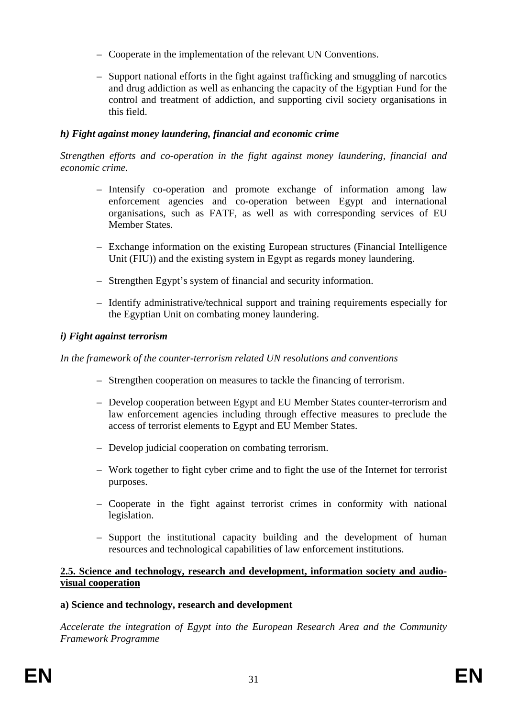- Cooperate in the implementation of the relevant UN Conventions.
- Support national efforts in the fight against trafficking and smuggling of narcotics and drug addiction as well as enhancing the capacity of the Egyptian Fund for the control and treatment of addiction, and supporting civil society organisations in this field.

# *h) Fight against money laundering, financial and economic crime*

*Strengthen efforts and co-operation in the fight against money laundering, financial and economic crime.* 

- Intensify co-operation and promote exchange of information among law enforcement agencies and co-operation between Egypt and international organisations, such as FATF, as well as with corresponding services of EU Member States.
- Exchange information on the existing European structures (Financial Intelligence Unit (FIU)) and the existing system in Egypt as regards money laundering.
- Strengthen Egypt's system of financial and security information.
- Identify administrative/technical support and training requirements especially for the Egyptian Unit on combating money laundering.

#### *i) Fight against terrorism*

*In the framework of the counter-terrorism related UN resolutions and conventions* 

- Strengthen cooperation on measures to tackle the financing of terrorism.
- Develop cooperation between Egypt and EU Member States counter-terrorism and law enforcement agencies including through effective measures to preclude the access of terrorist elements to Egypt and EU Member States.
- Develop judicial cooperation on combating terrorism.
- Work together to fight cyber crime and to fight the use of the Internet for terrorist purposes.
- Cooperate in the fight against terrorist crimes in conformity with national legislation.
- Support the institutional capacity building and the development of human resources and technological capabilities of law enforcement institutions.

#### **2.5. Science and technology, research and development, information society and audiovisual cooperation**

#### **a) Science and technology, research and development**

*Accelerate the integration of Egypt into the European Research Area and the Community Framework Programme*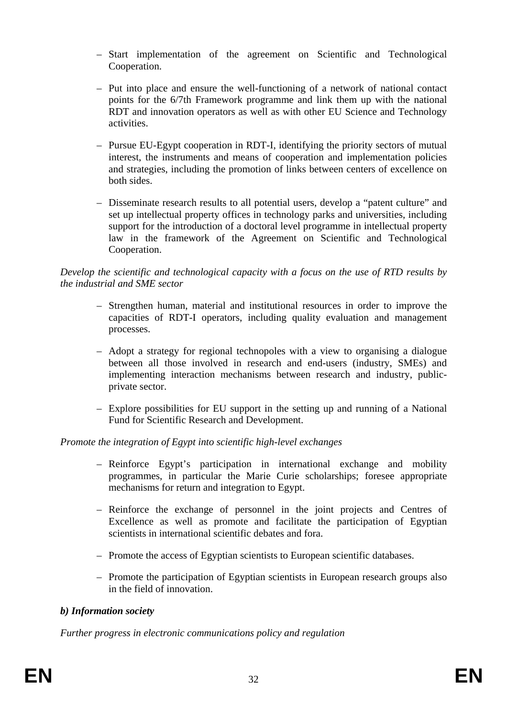- Start implementation of the agreement on Scientific and Technological Cooperation.
- Put into place and ensure the well-functioning of a network of national contact points for the 6/7th Framework programme and link them up with the national RDT and innovation operators as well as with other EU Science and Technology activities.
- Pursue EU-Egypt cooperation in RDT-I, identifying the priority sectors of mutual interest, the instruments and means of cooperation and implementation policies and strategies, including the promotion of links between centers of excellence on both sides.
- Disseminate research results to all potential users, develop a "patent culture" and set up intellectual property offices in technology parks and universities, including support for the introduction of a doctoral level programme in intellectual property law in the framework of the Agreement on Scientific and Technological Cooperation.

#### *Develop the scientific and technological capacity with a focus on the use of RTD results by the industrial and SME sector*

- Strengthen human, material and institutional resources in order to improve the capacities of RDT-I operators, including quality evaluation and management processes.
- Adopt a strategy for regional technopoles with a view to organising a dialogue between all those involved in research and end-users (industry, SMEs) and implementing interaction mechanisms between research and industry, publicprivate sector.
- Explore possibilities for EU support in the setting up and running of a National Fund for Scientific Research and Development.

# *Promote the integration of Egypt into scientific high-level exchanges*

- Reinforce Egypt's participation in international exchange and mobility programmes, in particular the Marie Curie scholarships; foresee appropriate mechanisms for return and integration to Egypt.
- Reinforce the exchange of personnel in the joint projects and Centres of Excellence as well as promote and facilitate the participation of Egyptian scientists in international scientific debates and fora.
- Promote the access of Egyptian scientists to European scientific databases.
- Promote the participation of Egyptian scientists in European research groups also in the field of innovation.

## *b) Information society*

*Further progress in electronic communications policy and regulation*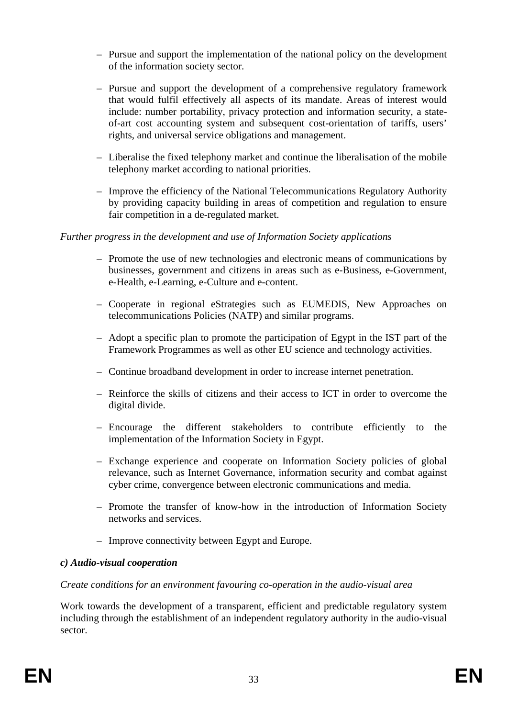- Pursue and support the implementation of the national policy on the development of the information society sector.
- Pursue and support the development of a comprehensive regulatory framework that would fulfil effectively all aspects of its mandate. Areas of interest would include: number portability, privacy protection and information security, a stateof-art cost accounting system and subsequent cost-orientation of tariffs, users' rights, and universal service obligations and management.
- Liberalise the fixed telephony market and continue the liberalisation of the mobile telephony market according to national priorities.
- Improve the efficiency of the National Telecommunications Regulatory Authority by providing capacity building in areas of competition and regulation to ensure fair competition in a de-regulated market.

#### *Further progress in the development and use of Information Society applications*

- Promote the use of new technologies and electronic means of communications by businesses, government and citizens in areas such as e-Business, e-Government, e-Health, e-Learning, e-Culture and e-content.
- Cooperate in regional eStrategies such as EUMEDIS, New Approaches on telecommunications Policies (NATP) and similar programs.
- Adopt a specific plan to promote the participation of Egypt in the IST part of the Framework Programmes as well as other EU science and technology activities.
- Continue broadband development in order to increase internet penetration.
- Reinforce the skills of citizens and their access to ICT in order to overcome the digital divide.
- Encourage the different stakeholders to contribute efficiently to the implementation of the Information Society in Egypt.
- Exchange experience and cooperate on Information Society policies of global relevance, such as Internet Governance, information security and combat against cyber crime, convergence between electronic communications and media.
- Promote the transfer of know-how in the introduction of Information Society networks and services.
- Improve connectivity between Egypt and Europe.

#### *c) Audio-visual cooperation*

#### *Create conditions for an environment favouring co-operation in the audio-visual area*

Work towards the development of a transparent, efficient and predictable regulatory system including through the establishment of an independent regulatory authority in the audio-visual sector.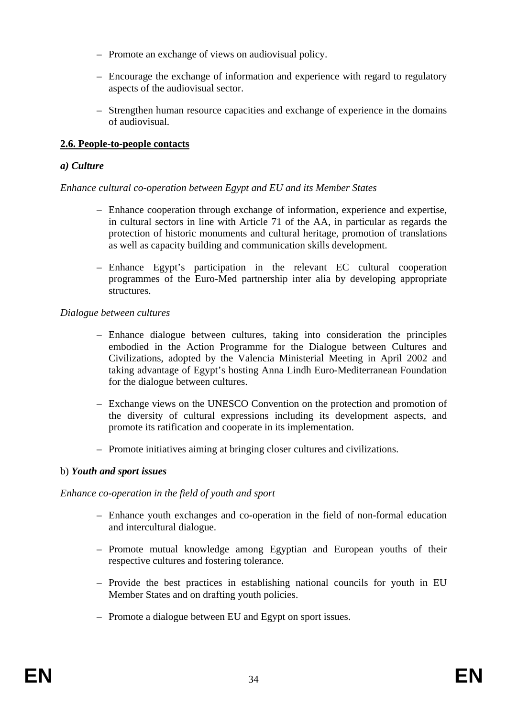- Promote an exchange of views on audiovisual policy.
- Encourage the exchange of information and experience with regard to regulatory aspects of the audiovisual sector.
- Strengthen human resource capacities and exchange of experience in the domains of audiovisual.

# **2.6. People-to-people contacts**

## *a) Culture*

## *Enhance cultural co-operation between Egypt and EU and its Member States*

- Enhance cooperation through exchange of information, experience and expertise, in cultural sectors in line with Article 71 of the AA, in particular as regards the protection of historic monuments and cultural heritage, promotion of translations as well as capacity building and communication skills development.
- Enhance Egypt's participation in the relevant EC cultural cooperation programmes of the Euro-Med partnership inter alia by developing appropriate structures.

## *Dialogue between cultures*

- Enhance dialogue between cultures, taking into consideration the principles embodied in the Action Programme for the Dialogue between Cultures and Civilizations, adopted by the Valencia Ministerial Meeting in April 2002 and taking advantage of Egypt's hosting Anna Lindh Euro-Mediterranean Foundation for the dialogue between cultures.
- Exchange views on the UNESCO Convention on the protection and promotion of the diversity of cultural expressions including its development aspects, and promote its ratification and cooperate in its implementation.
- Promote initiatives aiming at bringing closer cultures and civilizations.

# b) *Youth and sport issues*

## *Enhance co-operation in the field of youth and sport*

- Enhance youth exchanges and co-operation in the field of non-formal education and intercultural dialogue.
- Promote mutual knowledge among Egyptian and European youths of their respective cultures and fostering tolerance.
- Provide the best practices in establishing national councils for youth in EU Member States and on drafting youth policies.
- Promote a dialogue between EU and Egypt on sport issues.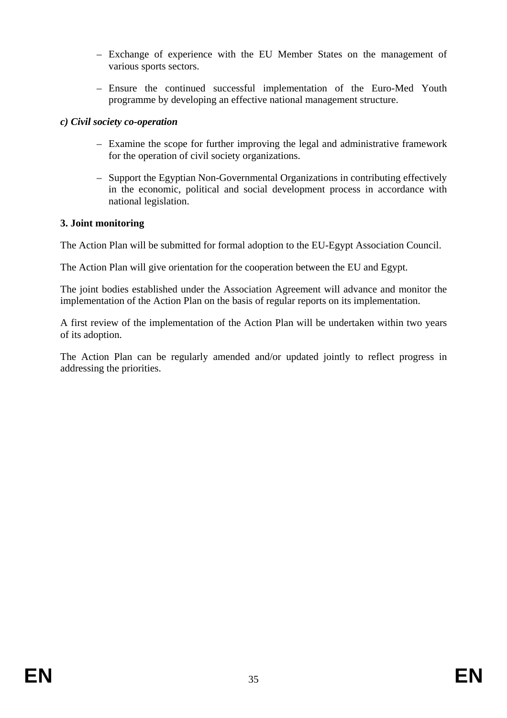- Exchange of experience with the EU Member States on the management of various sports sectors.
- Ensure the continued successful implementation of the Euro-Med Youth programme by developing an effective national management structure.

## *c) Civil society co-operation*

- Examine the scope for further improving the legal and administrative framework for the operation of civil society organizations.
- Support the Egyptian Non-Governmental Organizations in contributing effectively in the economic, political and social development process in accordance with national legislation.

# **3. Joint monitoring**

The Action Plan will be submitted for formal adoption to the EU-Egypt Association Council.

The Action Plan will give orientation for the cooperation between the EU and Egypt.

The joint bodies established under the Association Agreement will advance and monitor the implementation of the Action Plan on the basis of regular reports on its implementation.

A first review of the implementation of the Action Plan will be undertaken within two years of its adoption.

The Action Plan can be regularly amended and/or updated jointly to reflect progress in addressing the priorities.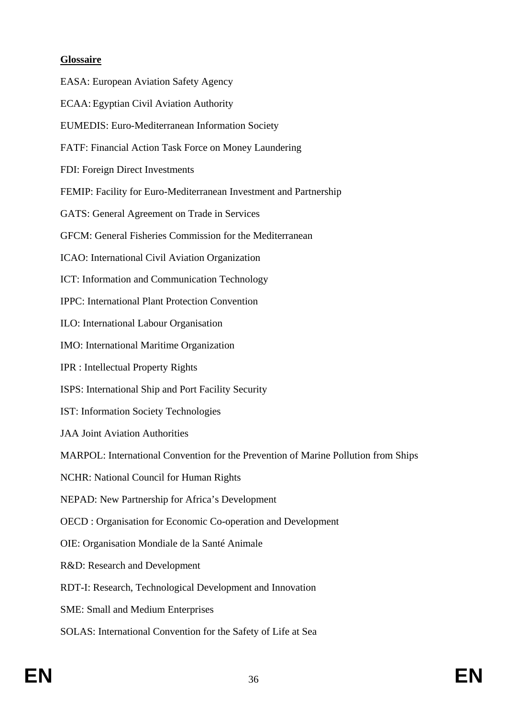# **Glossaire**

- EASA: European Aviation Safety Agency
- ECAA: Egyptian Civil Aviation Authority
- EUMEDIS: Euro-Mediterranean Information Society
- FATF: Financial Action Task Force on Money Laundering
- FDI: Foreign Direct Investments
- FEMIP: Facility for Euro-Mediterranean Investment and Partnership
- GATS: General Agreement on Trade in Services
- GFCM: General Fisheries Commission for the Mediterranean
- ICAO: International Civil Aviation Organization
- ICT: Information and Communication Technology
- IPPC: International Plant Protection Convention
- ILO: International Labour Organisation
- IMO: International Maritime Organization
- IPR : Intellectual Property Rights
- ISPS: International Ship and Port Facility Security
- IST: Information Society Technologies
- JAA Joint Aviation Authorities
- MARPOL: International Convention for the Prevention of Marine Pollution from Ships
- NCHR: National Council for Human Rights
- NEPAD: New Partnership for Africa's Development
- OECD : Organisation for Economic Co-operation and Development
- OIE: Organisation Mondiale de la Santé Animale
- R&D: Research and Development
- RDT-I: Research, Technological Development and Innovation
- SME: Small and Medium Enterprises
- SOLAS: International Convention for the Safety of Life at Sea